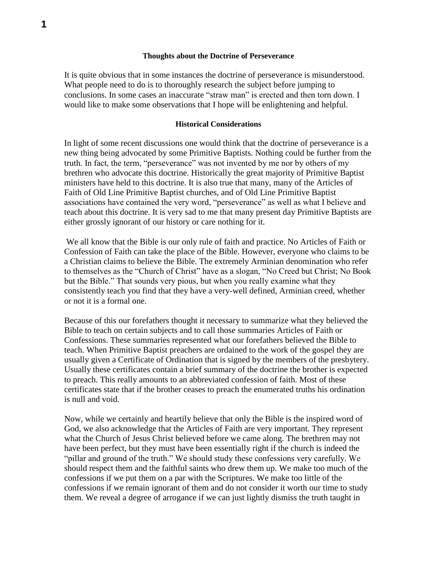### **Thoughts about the Doctrine of Perseverance**

It is quite obvious that in some instances the doctrine of perseverance is misunderstood. What people need to do is to thoroughly research the subject before jumping to conclusions. In some cases an inaccurate "straw man" is erected and then torn down. I would like to make some observations that I hope will be enlightening and helpful.

## **Historical Considerations**

In light of some recent discussions one would think that the doctrine of perseverance is a new thing being advocated by some Primitive Baptists. Nothing could be further from the truth. In fact, the term, "perseverance" was not invented by me nor by others of my brethren who advocate this doctrine. Historically the great majority of Primitive Baptist ministers have held to this doctrine. It is also true that many, many of the Articles of Faith of Old Line Primitive Baptist churches, and of Old Line Primitive Baptist associations have contained the very word, "perseverance" as well as what I believe and teach about this doctrine. It is very sad to me that many present day Primitive Baptists are either grossly ignorant of our history or care nothing for it.

We all know that the Bible is our only rule of faith and practice. No Articles of Faith or Confession of Faith can take the place of the Bible. However, everyone who claims to be a Christian claims to believe the Bible. The extremely Arminian denomination who refer to themselves as the "Church of Christ" have as a slogan, "No Creed but Christ; No Book but the Bible." That sounds very pious, but when you really examine what they consistently teach you find that they have a very-well defined, Arminian creed, whether or not it is a formal one.

Because of this our forefathers thought it necessary to summarize what they believed the Bible to teach on certain subjects and to call those summaries Articles of Faith or Confessions. These summaries represented what our forefathers believed the Bible to teach. When Primitive Baptist preachers are ordained to the work of the gospel they are usually given a Certificate of Ordination that is signed by the members of the presbytery. Usually these certificates contain a brief summary of the doctrine the brother is expected to preach. This really amounts to an abbreviated confession of faith. Most of these certificates state that if the brother ceases to preach the enumerated truths his ordination is null and void.

Now, while we certainly and heartily believe that only the Bible is the inspired word of God, we also acknowledge that the Articles of Faith are very important. They represent what the Church of Jesus Christ believed before we came along. The brethren may not have been perfect, but they must have been essentially right if the church is indeed the "pillar and ground of the truth." We should study these confessions very carefully. We should respect them and the faithful saints who drew them up. We make too much of the confessions if we put them on a par with the Scriptures. We make too little of the confessions if we remain ignorant of them and do not consider it worth our time to study them. We reveal a degree of arrogance if we can just lightly dismiss the truth taught in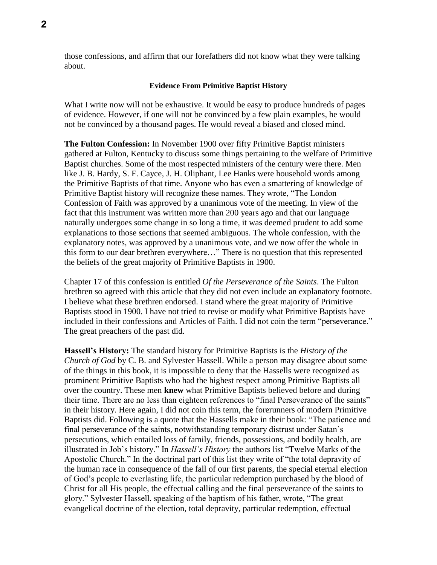those confessions, and affirm that our forefathers did not know what they were talking about.

#### **Evidence From Primitive Baptist History**

What I write now will not be exhaustive. It would be easy to produce hundreds of pages of evidence. However, if one will not be convinced by a few plain examples, he would not be convinced by a thousand pages. He would reveal a biased and closed mind.

**The Fulton Confession:** In November 1900 over fifty Primitive Baptist ministers gathered at Fulton, Kentucky to discuss some things pertaining to the welfare of Primitive Baptist churches. Some of the most respected ministers of the century were there. Men like J. B. Hardy, S. F. Cayce, J. H. Oliphant, Lee Hanks were household words among the Primitive Baptists of that time. Anyone who has even a smattering of knowledge of Primitive Baptist history will recognize these names. They wrote, "The London Confession of Faith was approved by a unanimous vote of the meeting. In view of the fact that this instrument was written more than 200 years ago and that our language naturally undergoes some change in so long a time, it was deemed prudent to add some explanations to those sections that seemed ambiguous. The whole confession, with the explanatory notes, was approved by a unanimous vote, and we now offer the whole in this form to our dear brethren everywhere…" There is no question that this represented the beliefs of the great majority of Primitive Baptists in 1900.

Chapter 17 of this confession is entitled *Of the Perseverance of the Saints*. The Fulton brethren so agreed with this article that they did not even include an explanatory footnote. I believe what these brethren endorsed. I stand where the great majority of Primitive Baptists stood in 1900. I have not tried to revise or modify what Primitive Baptists have included in their confessions and Articles of Faith. I did not coin the term "perseverance." The great preachers of the past did.

**Hassell's History:** The standard history for Primitive Baptists is the *History of the Church of God* by C. B. and Sylvester Hassell. While a person may disagree about some of the things in this book, it is impossible to deny that the Hassells were recognized as prominent Primitive Baptists who had the highest respect among Primitive Baptists all over the country. These men **knew** what Primitive Baptists believed before and during their time. There are no less than eighteen references to "final Perseverance of the saints" in their history. Here again, I did not coin this term, the forerunners of modern Primitive Baptists did. Following is a quote that the Hassells make in their book: "The patience and final perseverance of the saints, notwithstanding temporary distrust under Satan's persecutions, which entailed loss of family, friends, possessions, and bodily health, are illustrated in Job's history." In *Hassell's History* the authors list "Twelve Marks of the Apostolic Church." In the doctrinal part of this list they write of "the total depravity of the human race in consequence of the fall of our first parents, the special eternal election of God's people to everlasting life, the particular redemption purchased by the blood of Christ for all His people, the effectual calling and the final perseverance of the saints to glory." Sylvester Hassell, speaking of the baptism of his father, wrote, "The great evangelical doctrine of the election, total depravity, particular redemption, effectual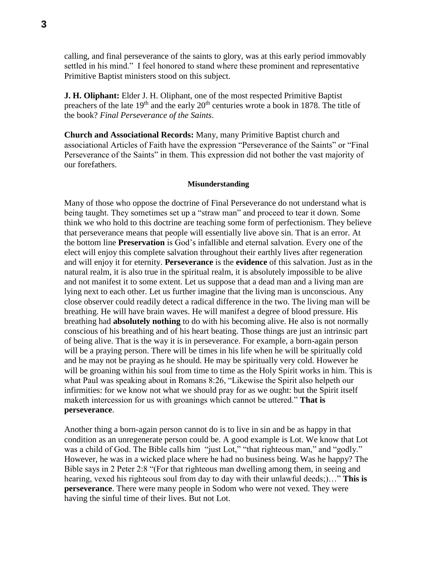calling, and final perseverance of the saints to glory, was at this early period immovably settled in his mind." I feel honored to stand where these prominent and representative Primitive Baptist ministers stood on this subject.

**J. H. Oliphant:** Elder J. H. Oliphant, one of the most respected Primitive Baptist preachers of the late  $19<sup>th</sup>$  and the early  $20<sup>th</sup>$  centuries wrote a book in 1878. The title of the book? *Final Perseverance of the Saints*.

**Church and Associational Records:** Many, many Primitive Baptist church and associational Articles of Faith have the expression "Perseverance of the Saints" or "Final Perseverance of the Saints" in them. This expression did not bother the vast majority of our forefathers.

# **Misunderstanding**

Many of those who oppose the doctrine of Final Perseverance do not understand what is being taught. They sometimes set up a "straw man" and proceed to tear it down. Some think we who hold to this doctrine are teaching some form of perfectionism. They believe that perseverance means that people will essentially live above sin. That is an error. At the bottom line **Preservation** is God's infallible and eternal salvation. Every one of the elect will enjoy this complete salvation throughout their earthly lives after regeneration and will enjoy it for eternity. **Perseverance** is the **evidence** of this salvation. Just as in the natural realm, it is also true in the spiritual realm, it is absolutely impossible to be alive and not manifest it to some extent. Let us suppose that a dead man and a living man are lying next to each other. Let us further imagine that the living man is unconscious. Any close observer could readily detect a radical difference in the two. The living man will be breathing. He will have brain waves. He will manifest a degree of blood pressure. His breathing had **absolutely nothing** to do with his becoming alive. He also is not normally conscious of his breathing and of his heart beating. Those things are just an intrinsic part of being alive. That is the way it is in perseverance. For example, a born-again person will be a praying person. There will be times in his life when he will be spiritually cold and he may not be praying as he should. He may be spiritually very cold. However he will be groaning within his soul from time to time as the Holy Spirit works in him. This is what Paul was speaking about in Romans 8:26, "Likewise the Spirit also helpeth our infirmities: for we know not what we should pray for as we ought: but the Spirit itself maketh intercession for us with groanings which cannot be uttered." **That is perseverance**.

Another thing a born-again person cannot do is to live in sin and be as happy in that condition as an unregenerate person could be. A good example is Lot. We know that Lot was a child of God. The Bible calls him "just Lot," "that righteous man," and "godly." However, he was in a wicked place where he had no business being. Was he happy? The Bible says in 2 Peter 2:8 "(For that righteous man dwelling among them, in seeing and hearing, vexed his righteous soul from day to day with their unlawful deeds;)…" **This is perseverance**. There were many people in Sodom who were not vexed. They were having the sinful time of their lives. But not Lot.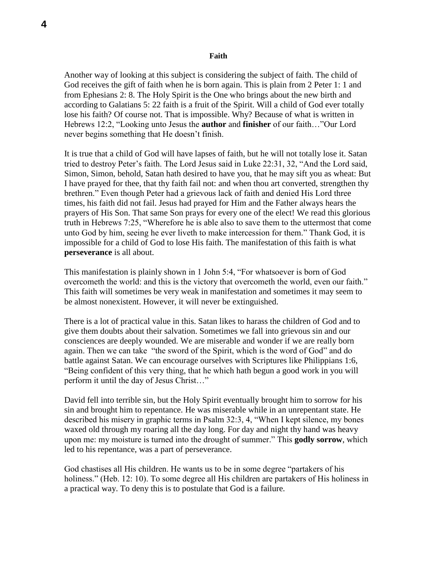### **Faith**

Another way of looking at this subject is considering the subject of faith. The child of God receives the gift of faith when he is born again. This is plain from 2 Peter 1: 1 and from Ephesians 2: 8. The Holy Spirit is the One who brings about the new birth and according to Galatians 5: 22 faith is a fruit of the Spirit. Will a child of God ever totally lose his faith? Of course not. That is impossible. Why? Because of what is written in Hebrews 12:2, "Looking unto Jesus the **author** and **finisher** of our faith…"Our Lord never begins something that He doesn't finish.

It is true that a child of God will have lapses of faith, but he will not totally lose it. Satan tried to destroy Peter's faith. The Lord Jesus said in Luke 22:31, 32, "And the Lord said, Simon, Simon, behold, Satan hath desired to have you, that he may sift you as wheat: But I have prayed for thee, that thy faith fail not: and when thou art converted, strengthen thy brethren." Even though Peter had a grievous lack of faith and denied His Lord three times, his faith did not fail. Jesus had prayed for Him and the Father always hears the prayers of His Son. That same Son prays for every one of the elect! We read this glorious truth in Hebrews 7:25, "Wherefore he is able also to save them to the uttermost that come unto God by him, seeing he ever liveth to make intercession for them." Thank God, it is impossible for a child of God to lose His faith. The manifestation of this faith is what **perseverance** is all about.

This manifestation is plainly shown in 1 John 5:4, "For whatsoever is born of God overcometh the world: and this is the victory that overcometh the world, even our faith." This faith will sometimes be very weak in manifestation and sometimes it may seem to be almost nonexistent. However, it will never be extinguished.

There is a lot of practical value in this. Satan likes to harass the children of God and to give them doubts about their salvation. Sometimes we fall into grievous sin and our consciences are deeply wounded. We are miserable and wonder if we are really born again. Then we can take "the sword of the Spirit, which is the word of God" and do battle against Satan. We can encourage ourselves with Scriptures like Philippians 1:6, "Being confident of this very thing, that he which hath begun a good work in you will perform it until the day of Jesus Christ…"

David fell into terrible sin, but the Holy Spirit eventually brought him to sorrow for his sin and brought him to repentance. He was miserable while in an unrepentant state. He described his misery in graphic terms in Psalm 32:3, 4, "When I kept silence, my bones waxed old through my roaring all the day long. For day and night thy hand was heavy upon me: my moisture is turned into the drought of summer." This **godly sorrow**, which led to his repentance, was a part of perseverance.

God chastises all His children. He wants us to be in some degree "partakers of his holiness." (Heb. 12: 10). To some degree all His children are partakers of His holiness in a practical way. To deny this is to postulate that God is a failure.